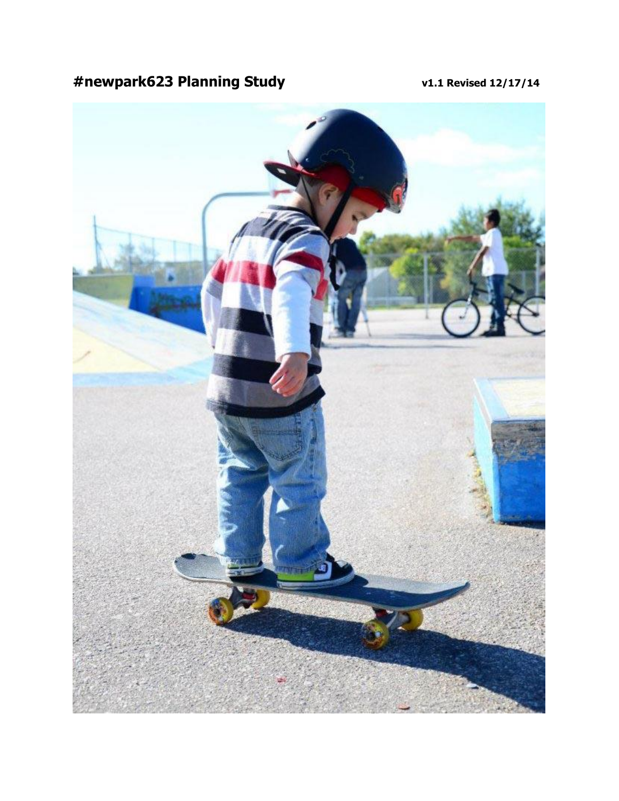# **#newpark623 Planning Study v1.1 Revised 12/17/14**

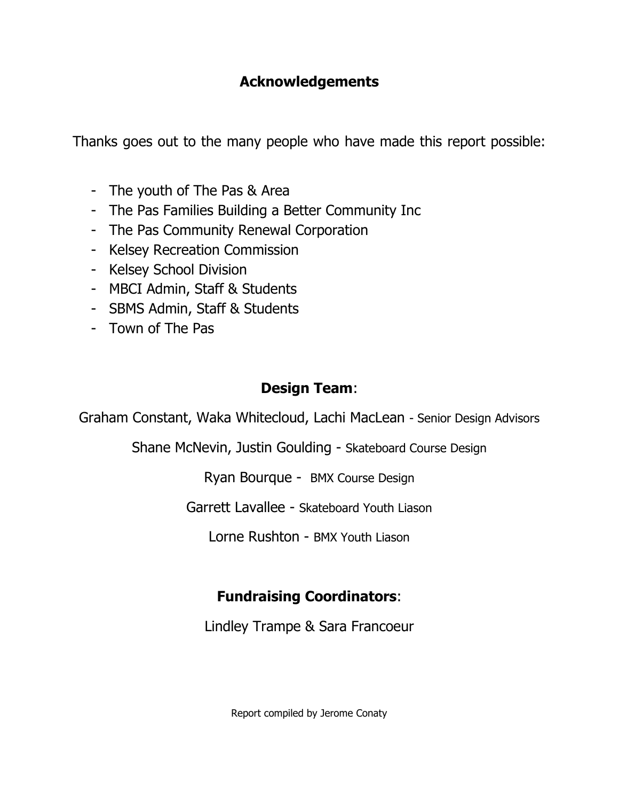### **Acknowledgements**

Thanks goes out to the many people who have made this report possible:

- The youth of The Pas & Area
- The Pas Families Building a Better Community Inc
- The Pas Community Renewal Corporation
- Kelsey Recreation Commission
- Kelsey School Division
- MBCI Admin, Staff & Students
- SBMS Admin, Staff & Students
- Town of The Pas

#### **Design Team**:

Graham Constant, Waka Whitecloud, Lachi MacLean - Senior Design Advisors

Shane McNevin, Justin Goulding - Skateboard Course Design

Ryan Bourque - BMX Course Design

Garrett Lavallee - Skateboard Youth Liason

Lorne Rushton - BMX Youth Liason

# **Fundraising Coordinators**:

Lindley Trampe & Sara Francoeur

Report compiled by Jerome Conaty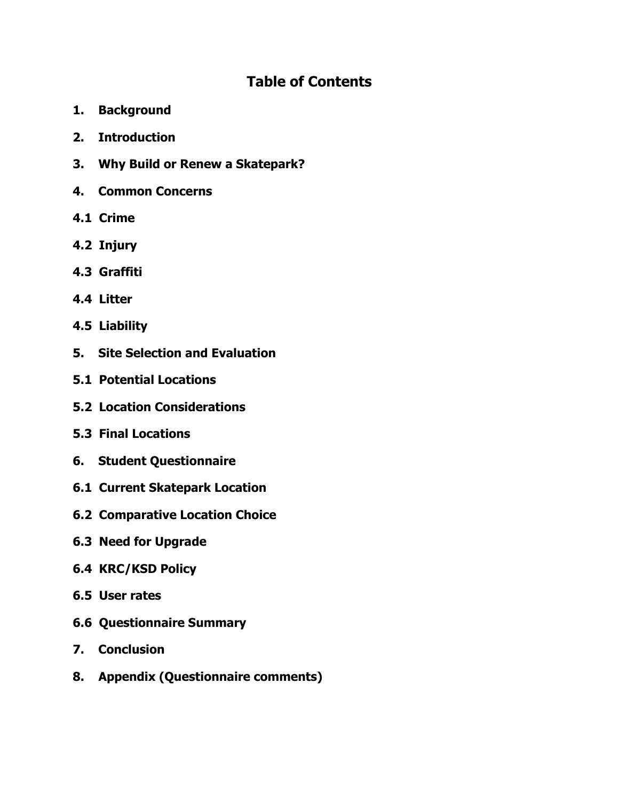#### **Table of Contents**

- **1. Background**
- **2. Introduction**
- **3. Why Build or Renew a Skatepark?**
- **4. Common Concerns**
- **4.1 Crime**
- **4.2 Injury**
- **4.3 Graffiti**
- **4.4 Litter**
- **4.5 Liability**
- **5. Site Selection and Evaluation**
- **5.1 Potential Locations**
- **5.2 Location Considerations**
- **5.3 Final Locations**
- **6. Student Questionnaire**
- **6.1 Current Skatepark Location**
- **6.2 Comparative Location Choice**
- **6.3 Need for Upgrade**
- **6.4 KRC/KSD Policy**
- **6.5 User rates**
- **6.6 Questionnaire Summary**
- **7. Conclusion**
- **8. Appendix (Questionnaire comments)**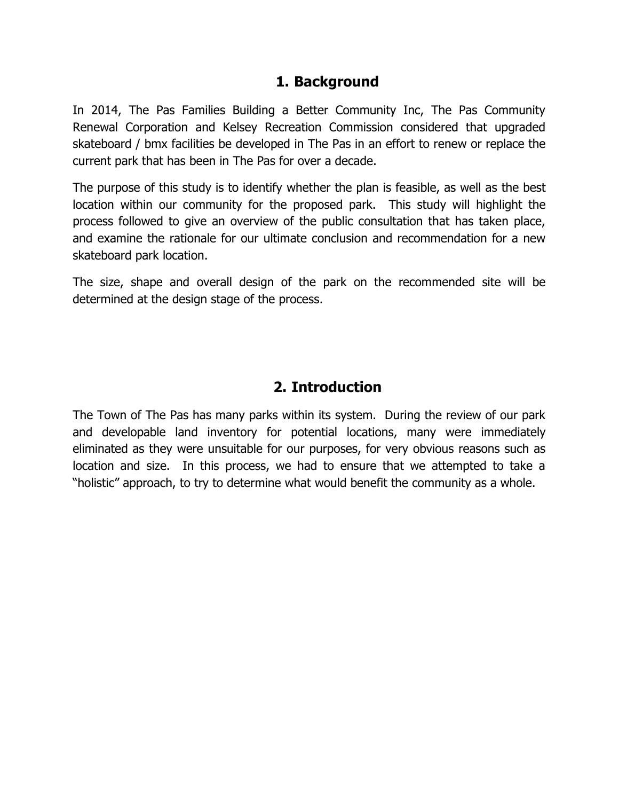#### **1. Background**

In 2014, The Pas Families Building a Better Community Inc, The Pas Community Renewal Corporation and Kelsey Recreation Commission considered that upgraded skateboard / bmx facilities be developed in The Pas in an effort to renew or replace the current park that has been in The Pas for over a decade.

The purpose of this study is to identify whether the plan is feasible, as well as the best location within our community for the proposed park. This study will highlight the process followed to give an overview of the public consultation that has taken place, and examine the rationale for our ultimate conclusion and recommendation for a new skateboard park location.

The size, shape and overall design of the park on the recommended site will be determined at the design stage of the process.

#### **2. Introduction**

The Town of The Pas has many parks within its system. During the review of our park and developable land inventory for potential locations, many were immediately eliminated as they were unsuitable for our purposes, for very obvious reasons such as location and size. In this process, we had to ensure that we attempted to take a "holistic" approach, to try to determine what would benefit the community as a whole.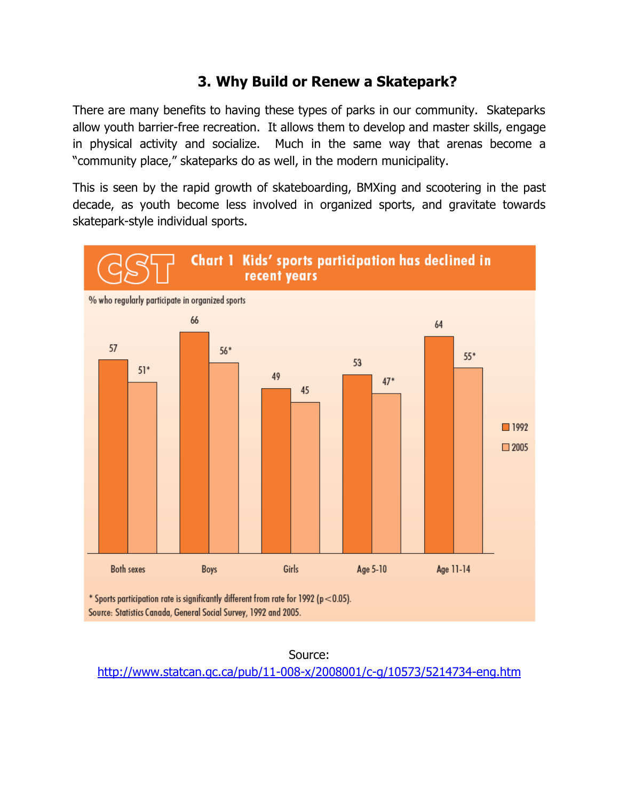#### **3. Why Build or Renew a Skatepark?**

There are many benefits to having these types of parks in our community. Skateparks allow youth barrier-free recreation. It allows them to develop and master skills, engage in physical activity and socialize. Much in the same way that arenas become a "community place," skateparks do as well, in the modern municipality.

This is seen by the rapid growth of skateboarding, BMXing and scootering in the past decade, as youth become less involved in organized sports, and gravitate towards skatepark-style individual sports.



Source: <http://www.statcan.gc.ca/pub/11-008-x/2008001/c-g/10573/5214734-eng.htm>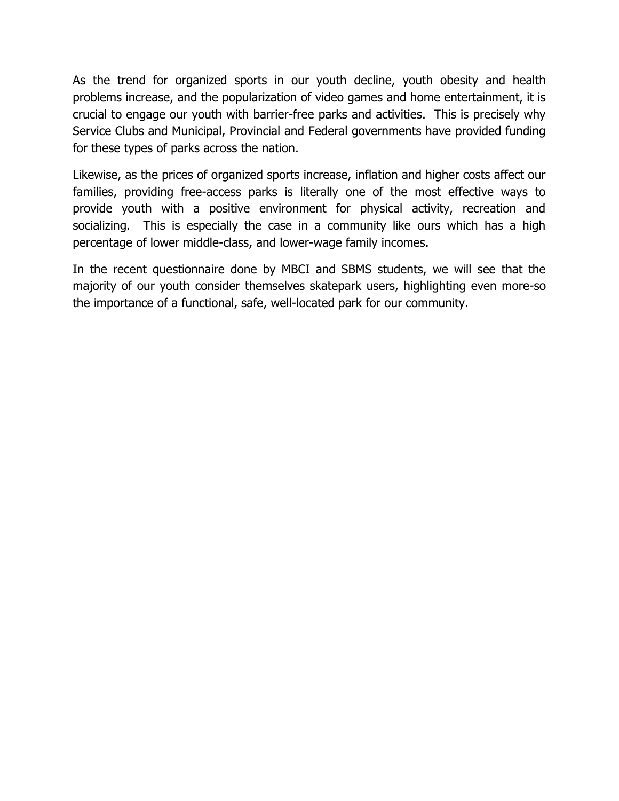As the trend for organized sports in our youth decline, youth obesity and health problems increase, and the popularization of video games and home entertainment, it is crucial to engage our youth with barrier-free parks and activities. This is precisely why Service Clubs and Municipal, Provincial and Federal governments have provided funding for these types of parks across the nation.

Likewise, as the prices of organized sports increase, inflation and higher costs affect our families, providing free-access parks is literally one of the most effective ways to provide youth with a positive environment for physical activity, recreation and socializing. This is especially the case in a community like ours which has a high percentage of lower middle-class, and lower-wage family incomes.

In the recent questionnaire done by MBCI and SBMS students, we will see that the majority of our youth consider themselves skatepark users, highlighting even more-so the importance of a functional, safe, well-located park for our community.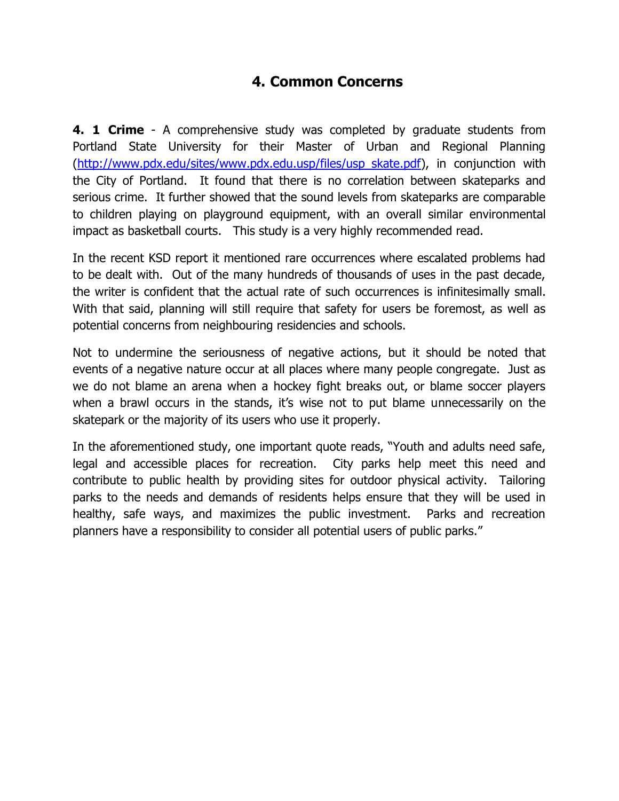#### **4. Common Concerns**

**4. 1 Crime** - A comprehensive study was completed by graduate students from Portland State University for their Master of Urban and Regional Planning [\(http://www.pdx.edu/sites/www.pdx.edu.usp/files/usp\\_skate.pdf\)](http://www.pdx.edu/sites/www.pdx.edu.usp/files/usp_skate.pdf), in conjunction with the City of Portland. It found that there is no correlation between skateparks and serious crime. It further showed that the sound levels from skateparks are comparable to children playing on playground equipment, with an overall similar environmental impact as basketball courts. This study is a very highly recommended read.

In the recent KSD report it mentioned rare occurrences where escalated problems had to be dealt with. Out of the many hundreds of thousands of uses in the past decade, the writer is confident that the actual rate of such occurrences is infinitesimally small. With that said, planning will still require that safety for users be foremost, as well as potential concerns from neighbouring residencies and schools.

Not to undermine the seriousness of negative actions, but it should be noted that events of a negative nature occur at all places where many people congregate. Just as we do not blame an arena when a hockey fight breaks out, or blame soccer players when a brawl occurs in the stands, it's wise not to put blame unnecessarily on the skatepark or the majority of its users who use it properly.

In the aforementioned study, one important quote reads, "Youth and adults need safe, legal and accessible places for recreation. City parks help meet this need and contribute to public health by providing sites for outdoor physical activity. Tailoring parks to the needs and demands of residents helps ensure that they will be used in healthy, safe ways, and maximizes the public investment. Parks and recreation planners have a responsibility to consider all potential users of public parks."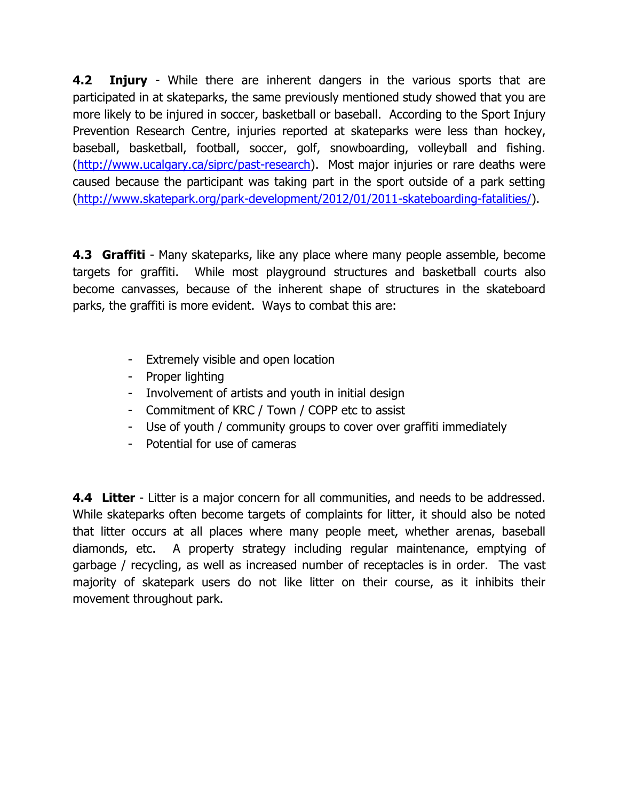**4.2 Injury** - While there are inherent dangers in the various sports that are participated in at skateparks, the same previously mentioned study showed that you are more likely to be injured in soccer, basketball or baseball. According to the Sport Injury Prevention Research Centre, injuries reported at skateparks were less than hockey, baseball, basketball, football, soccer, golf, snowboarding, volleyball and fishing. [\(http://www.ucalgary.ca/siprc/past-research\)](http://www.ucalgary.ca/siprc/past-research). Most major injuries or rare deaths were caused because the participant was taking part in the sport outside of a park setting [\(http://www.skatepark.org/park-development/2012/01/2011-skateboarding-fatalities/\)](http://www.skatepark.org/park-development/2012/01/2011-skateboarding-fatalities/).

**4.3 Graffiti** - Many skateparks, like any place where many people assemble, become targets for graffiti. While most playground structures and basketball courts also become canvasses, because of the inherent shape of structures in the skateboard parks, the graffiti is more evident. Ways to combat this are:

- Extremely visible and open location
- Proper lighting
- Involvement of artists and youth in initial design
- Commitment of KRC / Town / COPP etc to assist
- Use of youth / community groups to cover over graffiti immediately
- Potential for use of cameras

**4.4 Litter** - Litter is a major concern for all communities, and needs to be addressed. While skateparks often become targets of complaints for litter, it should also be noted that litter occurs at all places where many people meet, whether arenas, baseball diamonds, etc. A property strategy including regular maintenance, emptying of garbage / recycling, as well as increased number of receptacles is in order. The vast majority of skatepark users do not like litter on their course, as it inhibits their movement throughout park.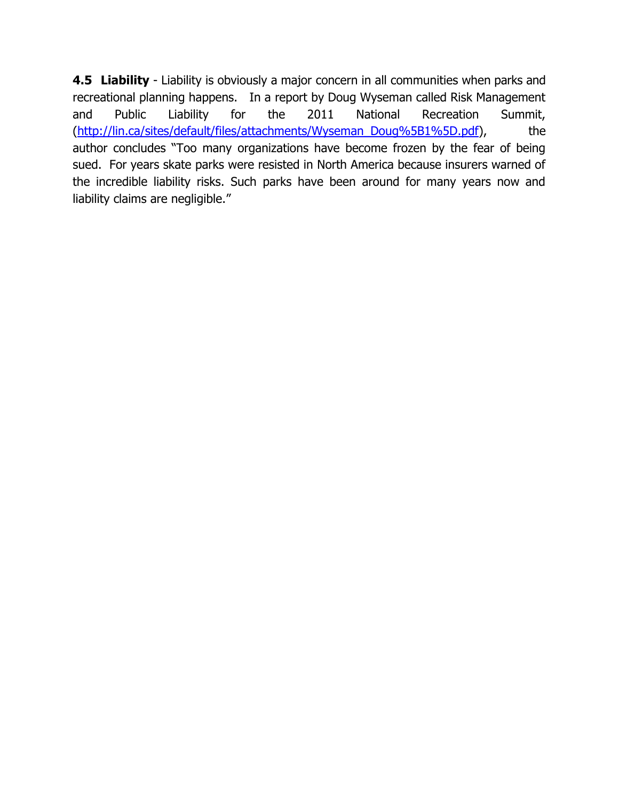**4.5 Liability** - Liability is obviously a major concern in all communities when parks and recreational planning happens. In a report by Doug Wyseman called Risk Management and Public Liability for the 2011 National Recreation Summit, [\(http://lin.ca/sites/default/files/attachments/Wyseman\\_Doug%5B1%5D.pdf\)](http://lin.ca/sites/default/files/attachments/Wyseman_Doug%5B1%5D.pdf), the author concludes "Too many organizations have become frozen by the fear of being sued. For years skate parks were resisted in North America because insurers warned of the incredible liability risks. Such parks have been around for many years now and liability claims are negligible."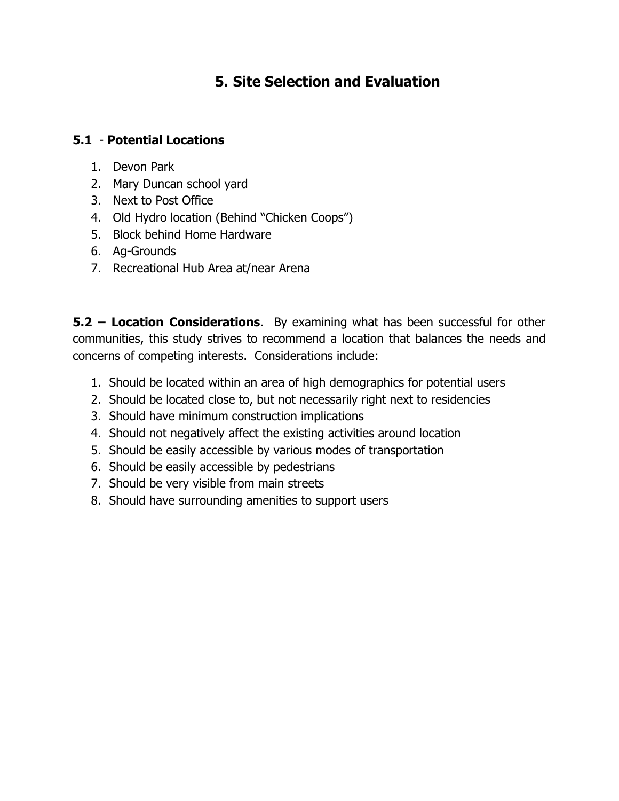## **5. Site Selection and Evaluation**

#### **5.1** - **Potential Locations**

- 1. Devon Park
- 2. Mary Duncan school yard
- 3. Next to Post Office
- 4. Old Hydro location (Behind "Chicken Coops")
- 5. Block behind Home Hardware
- 6. Ag-Grounds
- 7. Recreational Hub Area at/near Arena

**5.2 – Location Considerations**. By examining what has been successful for other communities, this study strives to recommend a location that balances the needs and concerns of competing interests. Considerations include:

- 1. Should be located within an area of high demographics for potential users
- 2. Should be located close to, but not necessarily right next to residencies
- 3. Should have minimum construction implications
- 4. Should not negatively affect the existing activities around location
- 5. Should be easily accessible by various modes of transportation
- 6. Should be easily accessible by pedestrians
- 7. Should be very visible from main streets
- 8. Should have surrounding amenities to support users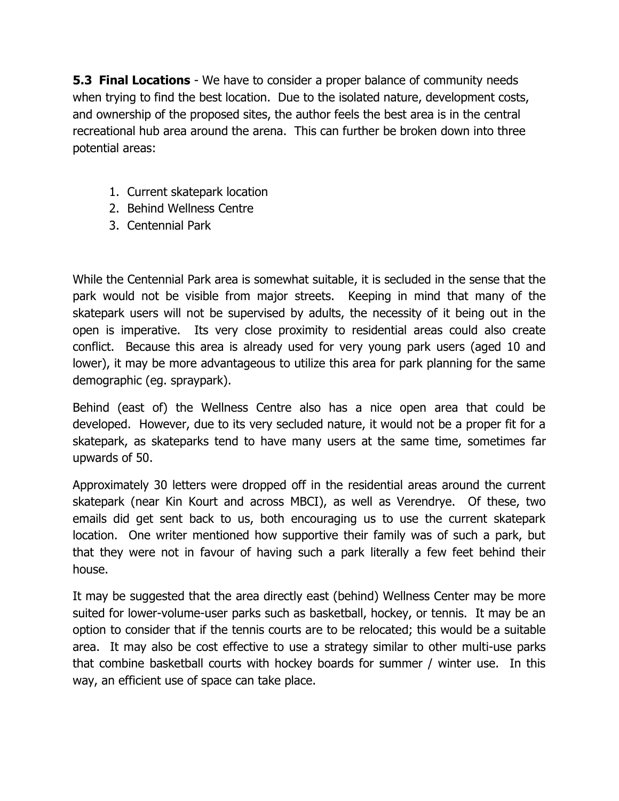**5.3 Final Locations** - We have to consider a proper balance of community needs when trying to find the best location. Due to the isolated nature, development costs, and ownership of the proposed sites, the author feels the best area is in the central recreational hub area around the arena. This can further be broken down into three potential areas:

- 1. Current skatepark location
- 2. Behind Wellness Centre
- 3. Centennial Park

While the Centennial Park area is somewhat suitable, it is secluded in the sense that the park would not be visible from major streets. Keeping in mind that many of the skatepark users will not be supervised by adults, the necessity of it being out in the open is imperative. Its very close proximity to residential areas could also create conflict. Because this area is already used for very young park users (aged 10 and lower), it may be more advantageous to utilize this area for park planning for the same demographic (eg. spraypark).

Behind (east of) the Wellness Centre also has a nice open area that could be developed. However, due to its very secluded nature, it would not be a proper fit for a skatepark, as skateparks tend to have many users at the same time, sometimes far upwards of 50.

Approximately 30 letters were dropped off in the residential areas around the current skatepark (near Kin Kourt and across MBCI), as well as Verendrye. Of these, two emails did get sent back to us, both encouraging us to use the current skatepark location. One writer mentioned how supportive their family was of such a park, but that they were not in favour of having such a park literally a few feet behind their house.

It may be suggested that the area directly east (behind) Wellness Center may be more suited for lower-volume-user parks such as basketball, hockey, or tennis. It may be an option to consider that if the tennis courts are to be relocated; this would be a suitable area. It may also be cost effective to use a strategy similar to other multi-use parks that combine basketball courts with hockey boards for summer / winter use. In this way, an efficient use of space can take place.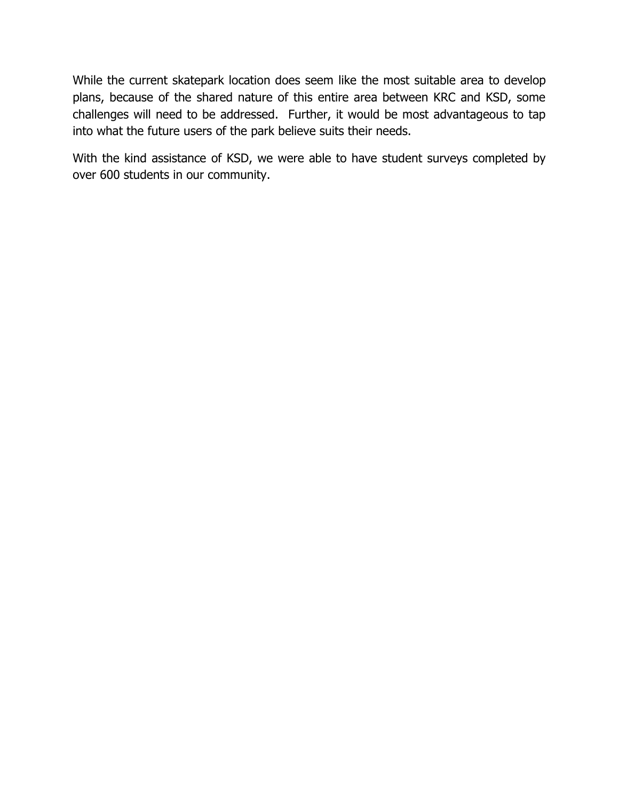While the current skatepark location does seem like the most suitable area to develop plans, because of the shared nature of this entire area between KRC and KSD, some challenges will need to be addressed. Further, it would be most advantageous to tap into what the future users of the park believe suits their needs.

With the kind assistance of KSD, we were able to have student surveys completed by over 600 students in our community.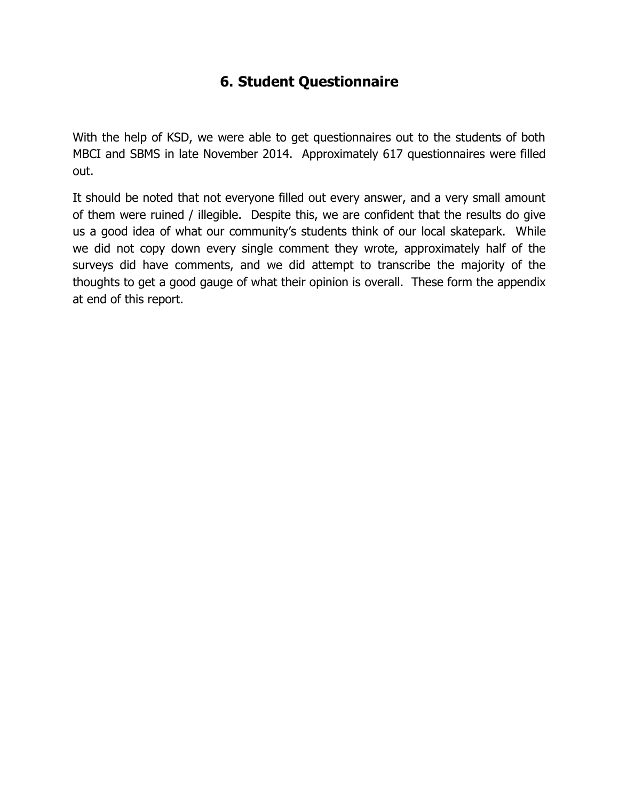### **6. Student Questionnaire**

With the help of KSD, we were able to get questionnaires out to the students of both MBCI and SBMS in late November 2014. Approximately 617 questionnaires were filled out.

It should be noted that not everyone filled out every answer, and a very small amount of them were ruined / illegible. Despite this, we are confident that the results do give us a good idea of what our community's students think of our local skatepark. While we did not copy down every single comment they wrote, approximately half of the surveys did have comments, and we did attempt to transcribe the majority of the thoughts to get a good gauge of what their opinion is overall. These form the appendix at end of this report.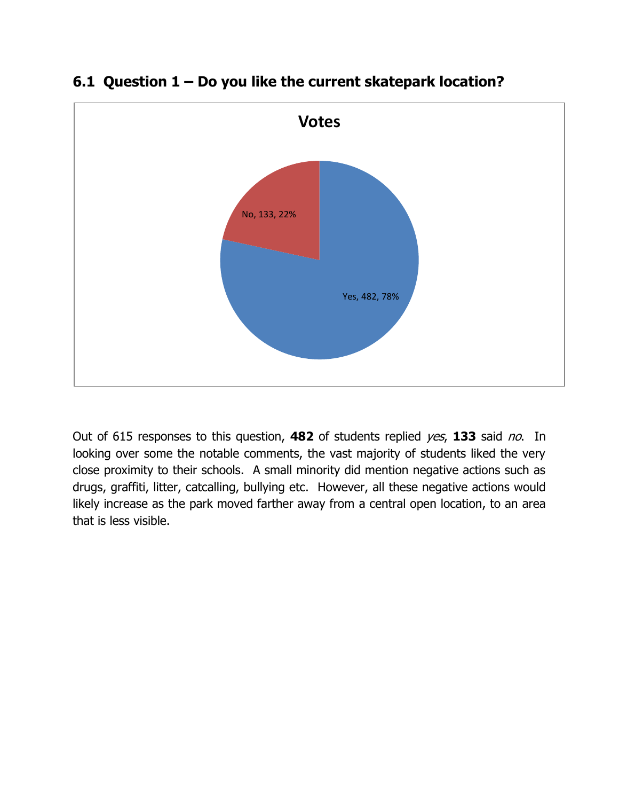

#### **6.1 Question 1 – Do you like the current skatepark location?**

Out of 615 responses to this question, **482** of students replied yes, **133** said no. In looking over some the notable comments, the vast majority of students liked the very close proximity to their schools. A small minority did mention negative actions such as drugs, graffiti, litter, catcalling, bullying etc. However, all these negative actions would likely increase as the park moved farther away from a central open location, to an area that is less visible.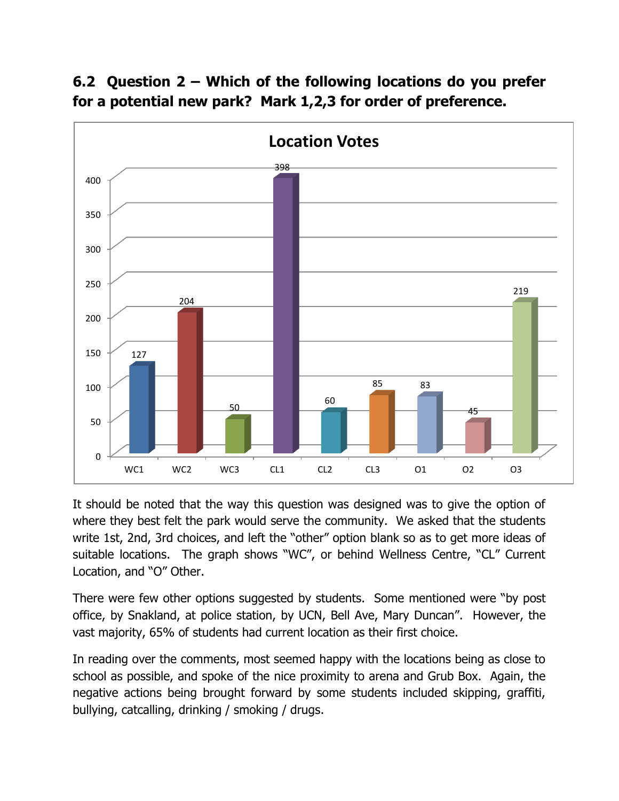### **6.2 Question 2 – Which of the following locations do you prefer for a potential new park? Mark 1,2,3 for order of preference.**



It should be noted that the way this question was designed was to give the option of where they best felt the park would serve the community. We asked that the students write 1st, 2nd, 3rd choices, and left the "other" option blank so as to get more ideas of suitable locations. The graph shows "WC", or behind Wellness Centre, "CL" Current Location, and "O" Other.

There were few other options suggested by students. Some mentioned were "by post office, by Snakland, at police station, by UCN, Bell Ave, Mary Duncan". However, the vast majority, 65% of students had current location as their first choice.

In reading over the comments, most seemed happy with the locations being as close to school as possible, and spoke of the nice proximity to arena and Grub Box. Again, the negative actions being brought forward by some students included skipping, graffiti, bullying, catcalling, drinking / smoking / drugs.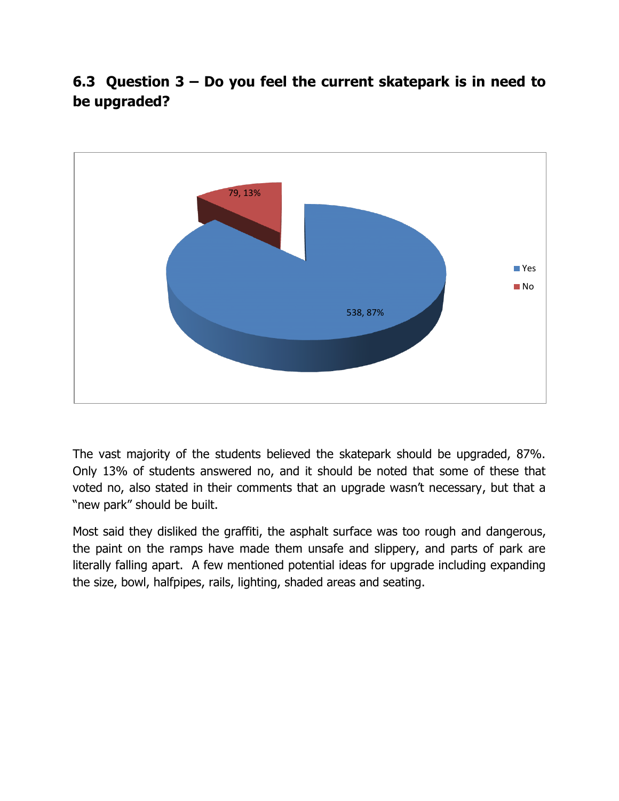**6.3 Question 3 – Do you feel the current skatepark is in need to be upgraded?**



The vast majority of the students believed the skatepark should be upgraded, 87%. Only 13% of students answered no, and it should be noted that some of these that voted no, also stated in their comments that an upgrade wasn't necessary, but that a "new park" should be built.

Most said they disliked the graffiti, the asphalt surface was too rough and dangerous, the paint on the ramps have made them unsafe and slippery, and parts of park are literally falling apart. A few mentioned potential ideas for upgrade including expanding the size, bowl, halfpipes, rails, lighting, shaded areas and seating.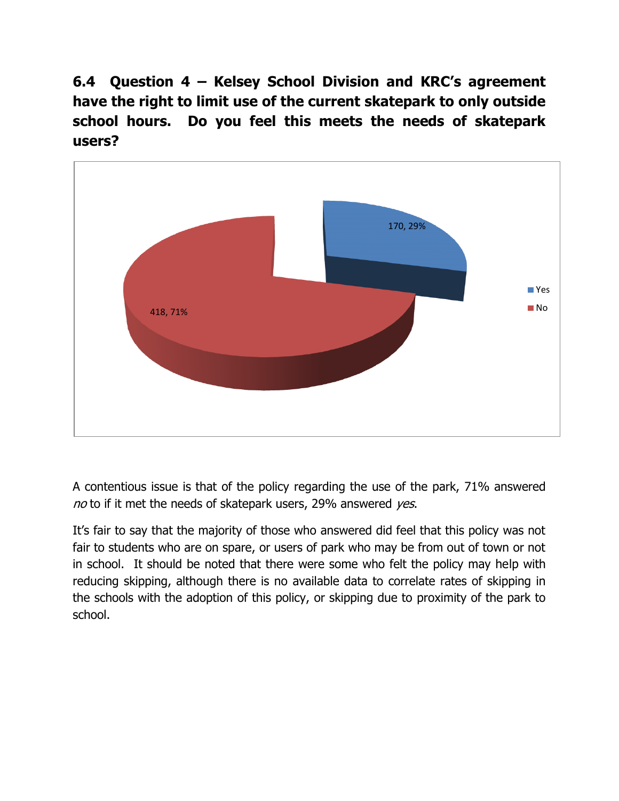**6.4 Question 4 – Kelsey School Division and KRC's agreement have the right to limit use of the current skatepark to only outside school hours. Do you feel this meets the needs of skatepark users?**



A contentious issue is that of the policy regarding the use of the park, 71% answered no to if it met the needs of skatepark users, 29% answered yes.

It's fair to say that the majority of those who answered did feel that this policy was not fair to students who are on spare, or users of park who may be from out of town or not in school. It should be noted that there were some who felt the policy may help with reducing skipping, although there is no available data to correlate rates of skipping in the schools with the adoption of this policy, or skipping due to proximity of the park to school.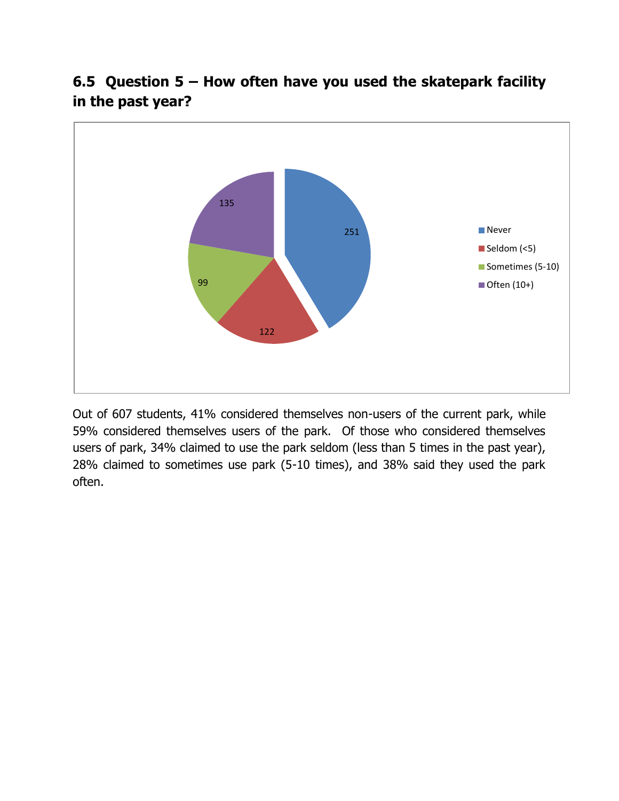

**6.5 Question 5 – How often have you used the skatepark facility in the past year?**

Out of 607 students, 41% considered themselves non-users of the current park, while 59% considered themselves users of the park. Of those who considered themselves users of park, 34% claimed to use the park seldom (less than 5 times in the past year), 28% claimed to sometimes use park (5-10 times), and 38% said they used the park often.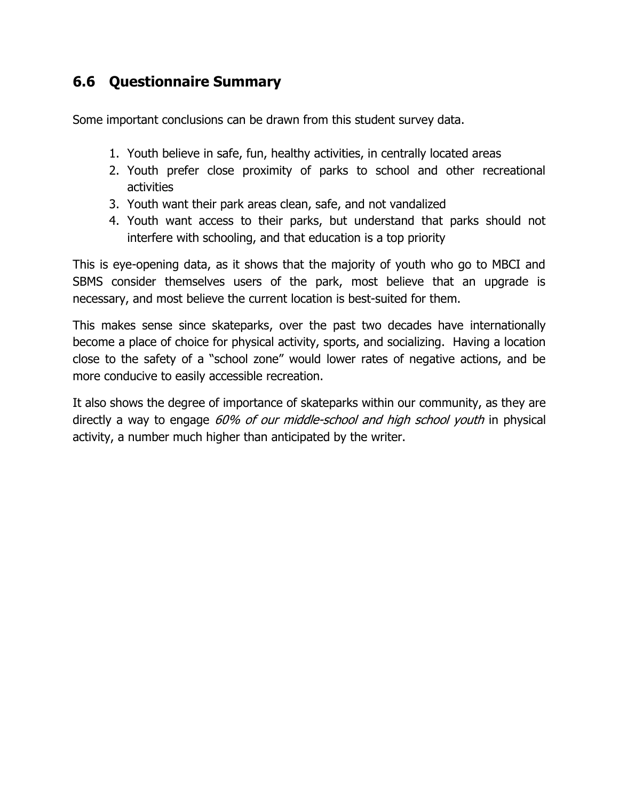## **6.6 Questionnaire Summary**

Some important conclusions can be drawn from this student survey data.

- 1. Youth believe in safe, fun, healthy activities, in centrally located areas
- 2. Youth prefer close proximity of parks to school and other recreational activities
- 3. Youth want their park areas clean, safe, and not vandalized
- 4. Youth want access to their parks, but understand that parks should not interfere with schooling, and that education is a top priority

This is eye-opening data, as it shows that the majority of youth who go to MBCI and SBMS consider themselves users of the park, most believe that an upgrade is necessary, and most believe the current location is best-suited for them.

This makes sense since skateparks, over the past two decades have internationally become a place of choice for physical activity, sports, and socializing. Having a location close to the safety of a "school zone" would lower rates of negative actions, and be more conducive to easily accessible recreation.

It also shows the degree of importance of skateparks within our community, as they are directly a way to engage 60% of our middle-school and high school youth in physical activity, a number much higher than anticipated by the writer.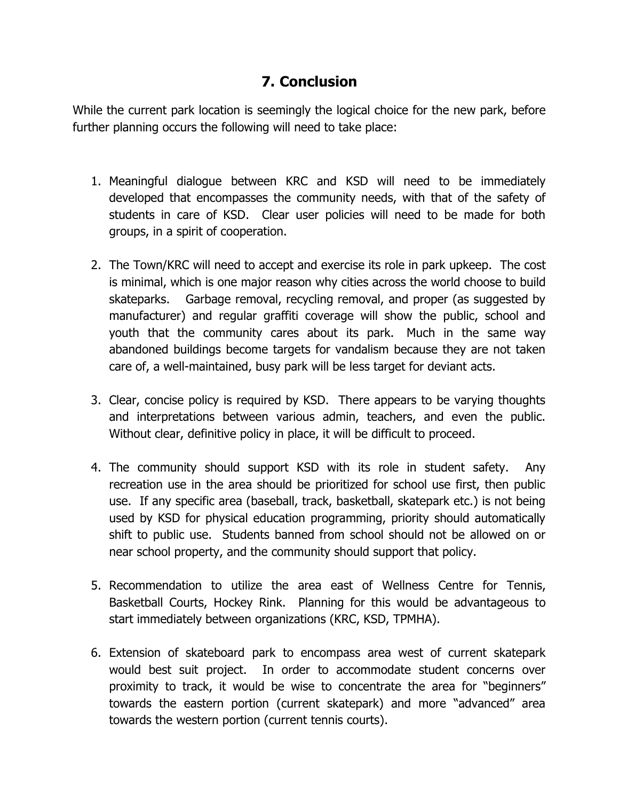#### **7. Conclusion**

While the current park location is seemingly the logical choice for the new park, before further planning occurs the following will need to take place:

- 1. Meaningful dialogue between KRC and KSD will need to be immediately developed that encompasses the community needs, with that of the safety of students in care of KSD. Clear user policies will need to be made for both groups, in a spirit of cooperation.
- 2. The Town/KRC will need to accept and exercise its role in park upkeep. The cost is minimal, which is one major reason why cities across the world choose to build skateparks. Garbage removal, recycling removal, and proper (as suggested by manufacturer) and regular graffiti coverage will show the public, school and youth that the community cares about its park. Much in the same way abandoned buildings become targets for vandalism because they are not taken care of, a well-maintained, busy park will be less target for deviant acts.
- 3. Clear, concise policy is required by KSD. There appears to be varying thoughts and interpretations between various admin, teachers, and even the public. Without clear, definitive policy in place, it will be difficult to proceed.
- 4. The community should support KSD with its role in student safety. Any recreation use in the area should be prioritized for school use first, then public use. If any specific area (baseball, track, basketball, skatepark etc.) is not being used by KSD for physical education programming, priority should automatically shift to public use. Students banned from school should not be allowed on or near school property, and the community should support that policy.
- 5. Recommendation to utilize the area east of Wellness Centre for Tennis, Basketball Courts, Hockey Rink. Planning for this would be advantageous to start immediately between organizations (KRC, KSD, TPMHA).
- 6. Extension of skateboard park to encompass area west of current skatepark would best suit project. In order to accommodate student concerns over proximity to track, it would be wise to concentrate the area for "beginners" towards the eastern portion (current skatepark) and more "advanced" area towards the western portion (current tennis courts).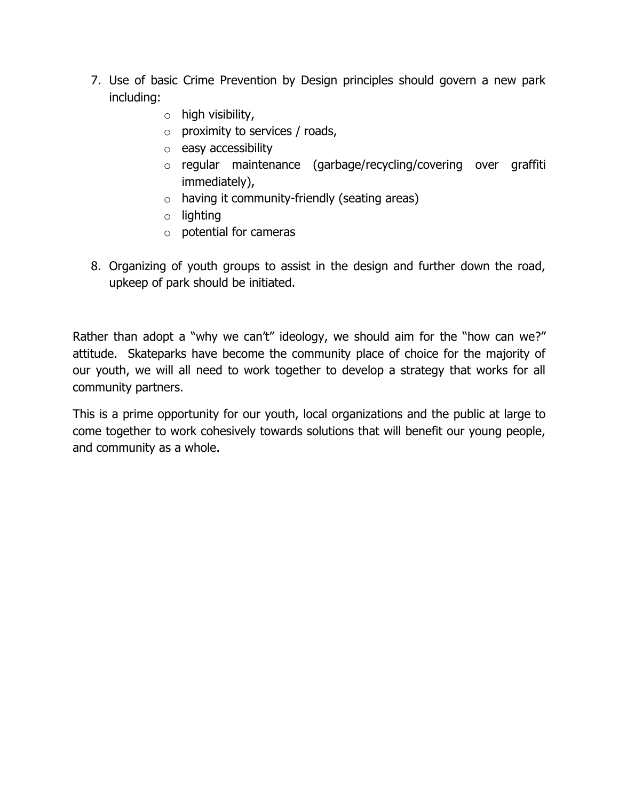- 7. Use of basic Crime Prevention by Design principles should govern a new park including:
	- o high visibility,
	- $\circ$  proximity to services / roads,
	- o easy accessibility
	- o regular maintenance (garbage/recycling/covering over graffiti immediately),
	- $\circ$  having it community-friendly (seating areas)
	- o lighting
	- o potential for cameras
- 8. Organizing of youth groups to assist in the design and further down the road, upkeep of park should be initiated.

Rather than adopt a "why we can't" ideology, we should aim for the "how can we?" attitude. Skateparks have become the community place of choice for the majority of our youth, we will all need to work together to develop a strategy that works for all community partners.

This is a prime opportunity for our youth, local organizations and the public at large to come together to work cohesively towards solutions that will benefit our young people, and community as a whole.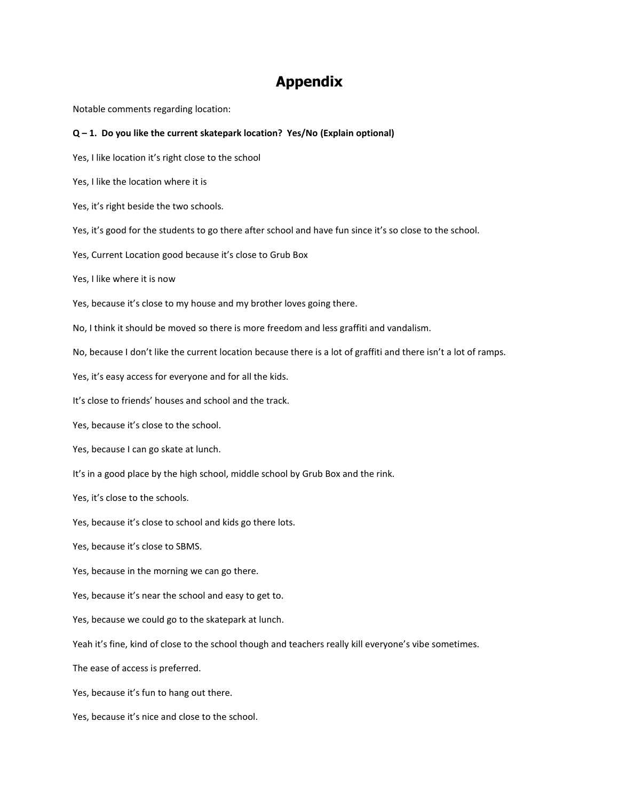#### **Appendix**

Notable comments regarding location:

#### **Q – 1. Do you like the current skatepark location? Yes/No (Explain optional)**

Yes, I like location it's right close to the school

Yes, I like the location where it is

Yes, it's right beside the two schools.

Yes, it's good for the students to go there after school and have fun since it's so close to the school.

Yes, Current Location good because it's close to Grub Box

Yes, I like where it is now

Yes, because it's close to my house and my brother loves going there.

No, I think it should be moved so there is more freedom and less graffiti and vandalism.

No, because I don't like the current location because there is a lot of graffiti and there isn't a lot of ramps.

Yes, it's easy access for everyone and for all the kids.

It's close to friends' houses and school and the track.

Yes, because it's close to the school.

Yes, because I can go skate at lunch.

It's in a good place by the high school, middle school by Grub Box and the rink.

Yes, it's close to the schools.

Yes, because it's close to school and kids go there lots.

Yes, because it's close to SBMS.

Yes, because in the morning we can go there.

Yes, because it's near the school and easy to get to.

Yes, because we could go to the skatepark at lunch.

Yeah it's fine, kind of close to the school though and teachers really kill everyone's vibe sometimes.

The ease of access is preferred.

Yes, because it's fun to hang out there.

Yes, because it's nice and close to the school.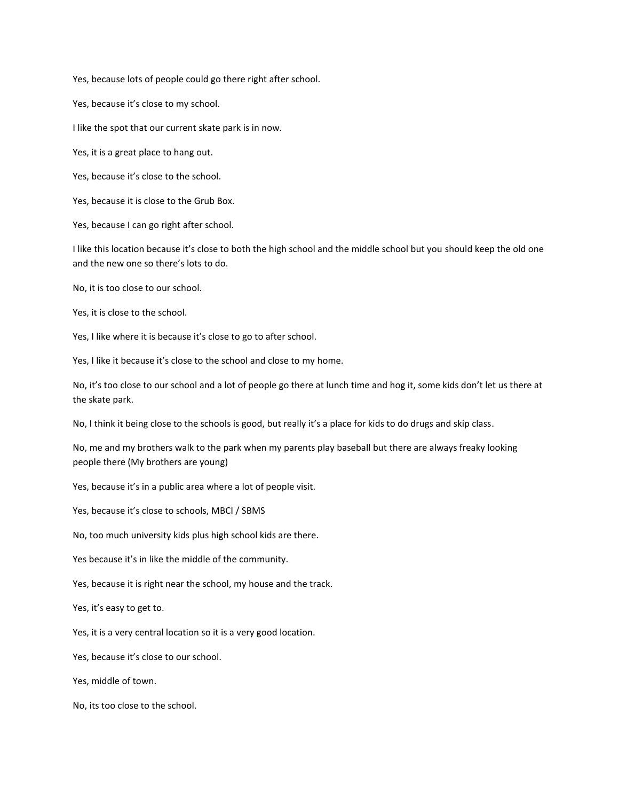Yes, because lots of people could go there right after school.

Yes, because it's close to my school.

I like the spot that our current skate park is in now.

Yes, it is a great place to hang out.

Yes, because it's close to the school.

Yes, because it is close to the Grub Box.

Yes, because I can go right after school.

I like this location because it's close to both the high school and the middle school but you should keep the old one and the new one so there's lots to do.

No, it is too close to our school.

Yes, it is close to the school.

Yes, I like where it is because it's close to go to after school.

Yes, I like it because it's close to the school and close to my home.

No, it's too close to our school and a lot of people go there at lunch time and hog it, some kids don't let us there at the skate park.

No, I think it being close to the schools is good, but really it's a place for kids to do drugs and skip class.

No, me and my brothers walk to the park when my parents play baseball but there are always freaky looking people there (My brothers are young)

Yes, because it's in a public area where a lot of people visit.

Yes, because it's close to schools, MBCI / SBMS

No, too much university kids plus high school kids are there.

Yes because it's in like the middle of the community.

Yes, because it is right near the school, my house and the track.

Yes, it's easy to get to.

Yes, it is a very central location so it is a very good location.

Yes, because it's close to our school.

Yes, middle of town.

No, its too close to the school.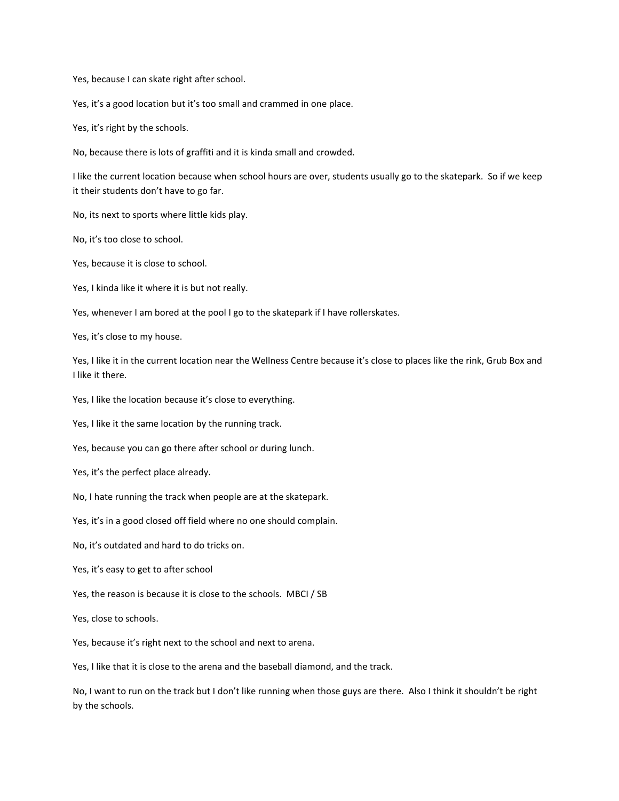Yes, because I can skate right after school.

Yes, it's a good location but it's too small and crammed in one place.

Yes, it's right by the schools.

No, because there is lots of graffiti and it is kinda small and crowded.

I like the current location because when school hours are over, students usually go to the skatepark. So if we keep it their students don't have to go far.

No, its next to sports where little kids play.

No, it's too close to school.

Yes, because it is close to school.

Yes, I kinda like it where it is but not really.

Yes, whenever I am bored at the pool I go to the skatepark if I have rollerskates.

Yes, it's close to my house.

Yes, I like it in the current location near the Wellness Centre because it's close to places like the rink, Grub Box and I like it there.

Yes, I like the location because it's close to everything.

Yes, I like it the same location by the running track.

Yes, because you can go there after school or during lunch.

Yes, it's the perfect place already.

No, I hate running the track when people are at the skatepark.

Yes, it's in a good closed off field where no one should complain.

No, it's outdated and hard to do tricks on.

Yes, it's easy to get to after school

Yes, the reason is because it is close to the schools. MBCI / SB

Yes, close to schools.

Yes, because it's right next to the school and next to arena.

Yes, I like that it is close to the arena and the baseball diamond, and the track.

No, I want to run on the track but I don't like running when those guys are there. Also I think it shouldn't be right by the schools.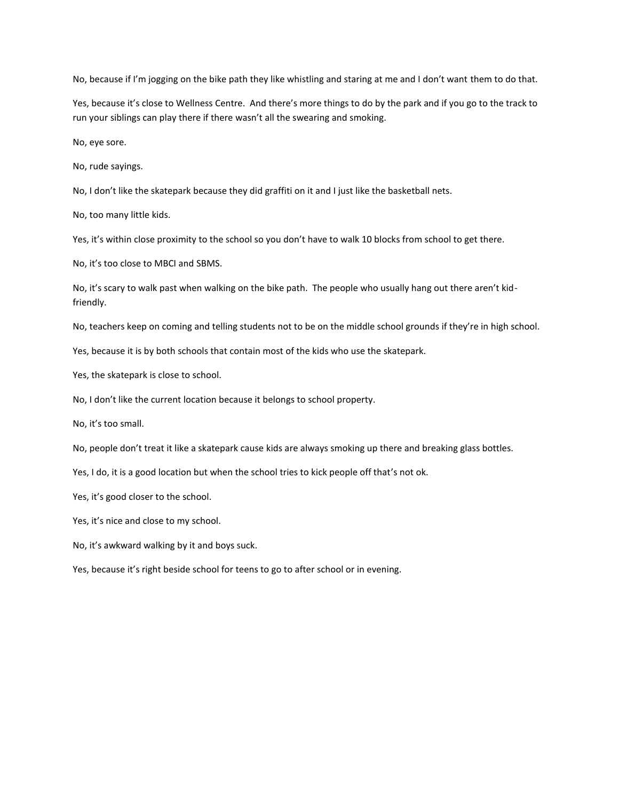No, because if I'm jogging on the bike path they like whistling and staring at me and I don't want them to do that.

Yes, because it's close to Wellness Centre. And there's more things to do by the park and if you go to the track to run your siblings can play there if there wasn't all the swearing and smoking.

No, eye sore.

No, rude sayings.

No, I don't like the skatepark because they did graffiti on it and I just like the basketball nets.

No, too many little kids.

Yes, it's within close proximity to the school so you don't have to walk 10 blocks from school to get there.

No, it's too close to MBCI and SBMS.

No, it's scary to walk past when walking on the bike path. The people who usually hang out there aren't kidfriendly.

No, teachers keep on coming and telling students not to be on the middle school grounds if they're in high school.

Yes, because it is by both schools that contain most of the kids who use the skatepark.

Yes, the skatepark is close to school.

No, I don't like the current location because it belongs to school property.

No, it's too small.

No, people don't treat it like a skatepark cause kids are always smoking up there and breaking glass bottles.

Yes, I do, it is a good location but when the school tries to kick people off that's not ok.

Yes, it's good closer to the school.

Yes, it's nice and close to my school.

No, it's awkward walking by it and boys suck.

Yes, because it's right beside school for teens to go to after school or in evening.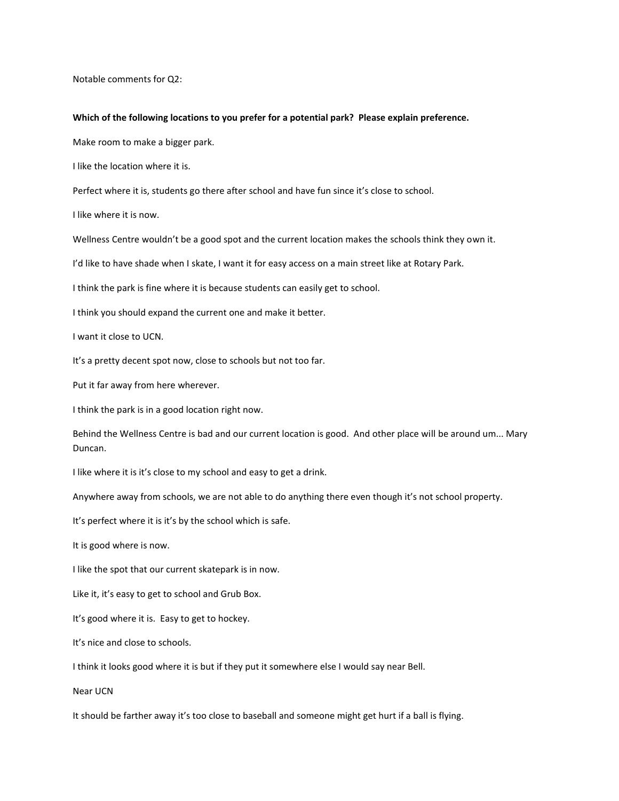Notable comments for Q2:

#### **Which of the following locations to you prefer for a potential park? Please explain preference.**

Make room to make a bigger park.

I like the location where it is.

Perfect where it is, students go there after school and have fun since it's close to school.

I like where it is now.

Wellness Centre wouldn't be a good spot and the current location makes the schools think they own it.

I'd like to have shade when I skate, I want it for easy access on a main street like at Rotary Park.

I think the park is fine where it is because students can easily get to school.

I think you should expand the current one and make it better.

I want it close to UCN.

It's a pretty decent spot now, close to schools but not too far.

Put it far away from here wherever.

I think the park is in a good location right now.

Behind the Wellness Centre is bad and our current location is good. And other place will be around um... Mary Duncan.

I like where it is it's close to my school and easy to get a drink.

Anywhere away from schools, we are not able to do anything there even though it's not school property.

It's perfect where it is it's by the school which is safe.

It is good where is now.

I like the spot that our current skatepark is in now.

Like it, it's easy to get to school and Grub Box.

It's good where it is. Easy to get to hockey.

It's nice and close to schools.

I think it looks good where it is but if they put it somewhere else I would say near Bell.

Near UCN

It should be farther away it's too close to baseball and someone might get hurt if a ball is flying.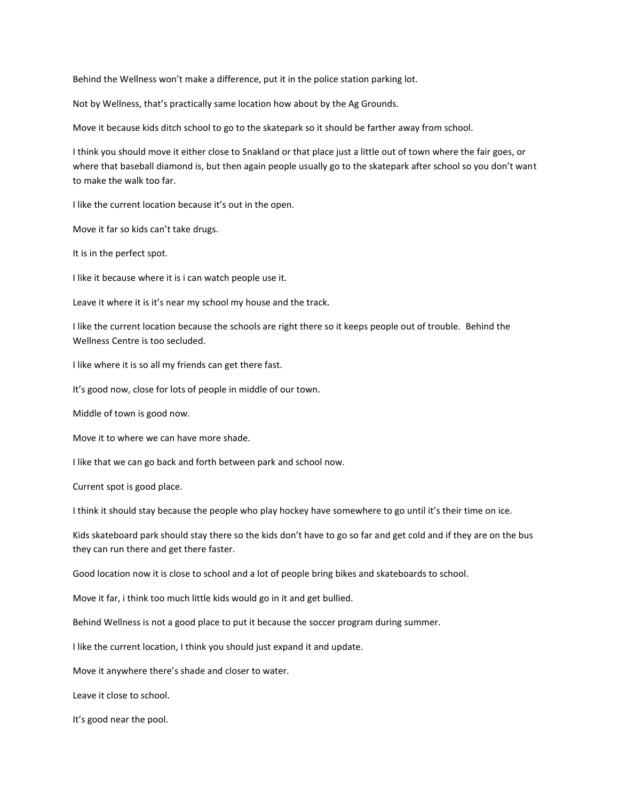Behind the Wellness won't make a difference, put it in the police station parking lot.

Not by Wellness, that's practically same location how about by the Ag Grounds.

Move it because kids ditch school to go to the skatepark so it should be farther away from school.

I think you should move it either close to Snakland or that place just a little out of town where the fair goes, or where that baseball diamond is, but then again people usually go to the skatepark after school so you don't want to make the walk too far.

I like the current location because it's out in the open.

Move it far so kids can't take drugs.

It is in the perfect spot.

I like it because where it is i can watch people use it.

Leave it where it is it's near my school my house and the track.

I like the current location because the schools are right there so it keeps people out of trouble. Behind the Wellness Centre is too secluded.

I like where it is so all my friends can get there fast.

It's good now, close for lots of people in middle of our town.

Middle of town is good now.

Move it to where we can have more shade.

I like that we can go back and forth between park and school now.

Current spot is good place.

I think it should stay because the people who play hockey have somewhere to go until it's their time on ice.

Kids skateboard park should stay there so the kids don't have to go so far and get cold and if they are on the bus they can run there and get there faster.

Good location now it is close to school and a lot of people bring bikes and skateboards to school.

Move it far, i think too much little kids would go in it and get bullied.

Behind Wellness is not a good place to put it because the soccer program during summer.

I like the current location, I think you should just expand it and update.

Move it anywhere there's shade and closer to water.

Leave it close to school.

It's good near the pool.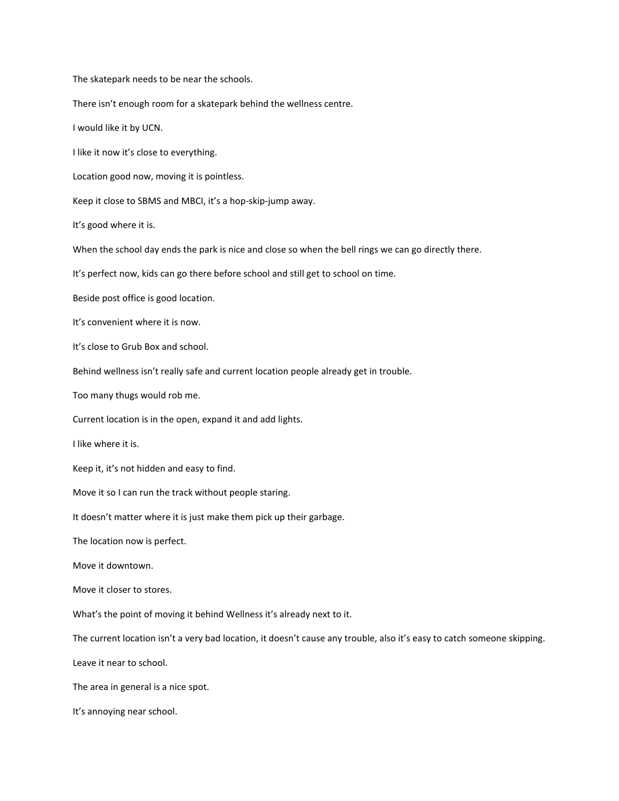The skatepark needs to be near the schools.

There isn't enough room for a skatepark behind the wellness centre.

I would like it by UCN.

I like it now it's close to everything.

Location good now, moving it is pointless.

Keep it close to SBMS and MBCI, it's a hop-skip-jump away.

It's good where it is.

When the school day ends the park is nice and close so when the bell rings we can go directly there.

It's perfect now, kids can go there before school and still get to school on time.

Beside post office is good location.

It's convenient where it is now.

It's close to Grub Box and school.

Behind wellness isn't really safe and current location people already get in trouble.

Too many thugs would rob me.

Current location is in the open, expand it and add lights.

I like where it is.

Keep it, it's not hidden and easy to find.

Move it so I can run the track without people staring.

It doesn't matter where it is just make them pick up their garbage.

The location now is perfect.

Move it downtown.

Move it closer to stores.

What's the point of moving it behind Wellness it's already next to it.

The current location isn't a very bad location, it doesn't cause any trouble, also it's easy to catch someone skipping.

Leave it near to school.

The area in general is a nice spot.

It's annoying near school.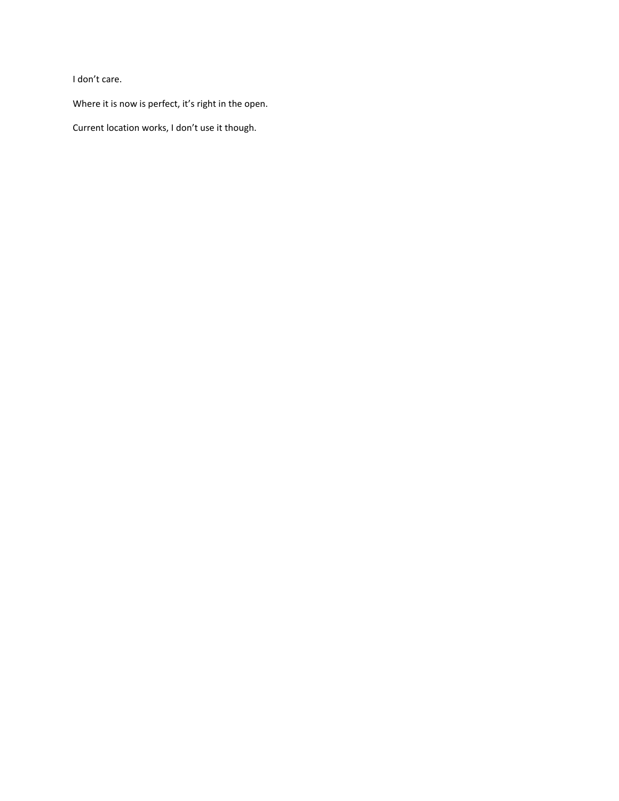I don't care.

Where it is now is perfect, it's right in the open.

Current location works, I don't use it though.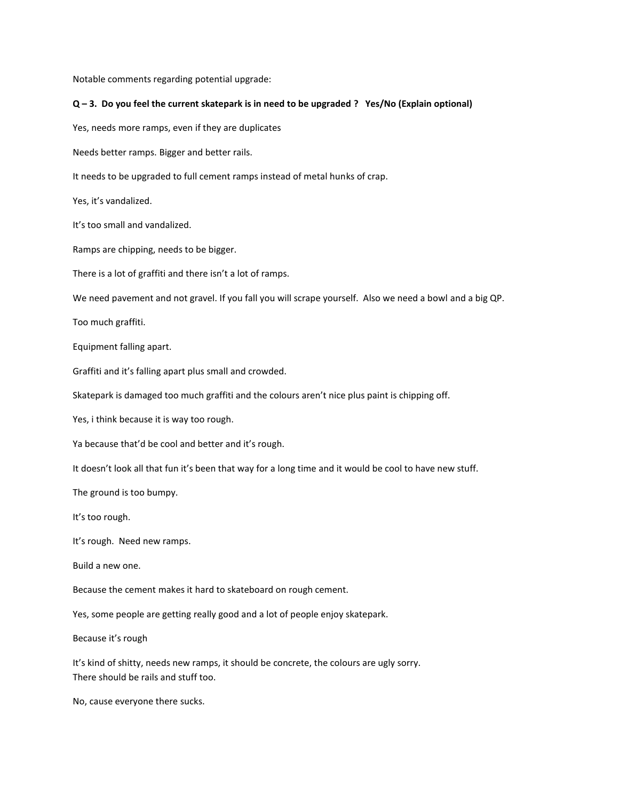Notable comments regarding potential upgrade:

#### **Q – 3. Do you feel the current skatepark is in need to be upgraded ? Yes/No (Explain optional)**

Yes, needs more ramps, even if they are duplicates

Needs better ramps. Bigger and better rails.

It needs to be upgraded to full cement ramps instead of metal hunks of crap.

Yes, it's vandalized.

It's too small and vandalized.

Ramps are chipping, needs to be bigger.

There is a lot of graffiti and there isn't a lot of ramps.

We need pavement and not gravel. If you fall you will scrape yourself. Also we need a bowl and a big QP.

Too much graffiti.

Equipment falling apart.

Graffiti and it's falling apart plus small and crowded.

Skatepark is damaged too much graffiti and the colours aren't nice plus paint is chipping off.

Yes, i think because it is way too rough.

Ya because that'd be cool and better and it's rough.

It doesn't look all that fun it's been that way for a long time and it would be cool to have new stuff.

The ground is too bumpy.

It's too rough.

It's rough. Need new ramps.

Build a new one.

Because the cement makes it hard to skateboard on rough cement.

Yes, some people are getting really good and a lot of people enjoy skatepark.

Because it's rough

It's kind of shitty, needs new ramps, it should be concrete, the colours are ugly sorry. There should be rails and stuff too.

No, cause everyone there sucks.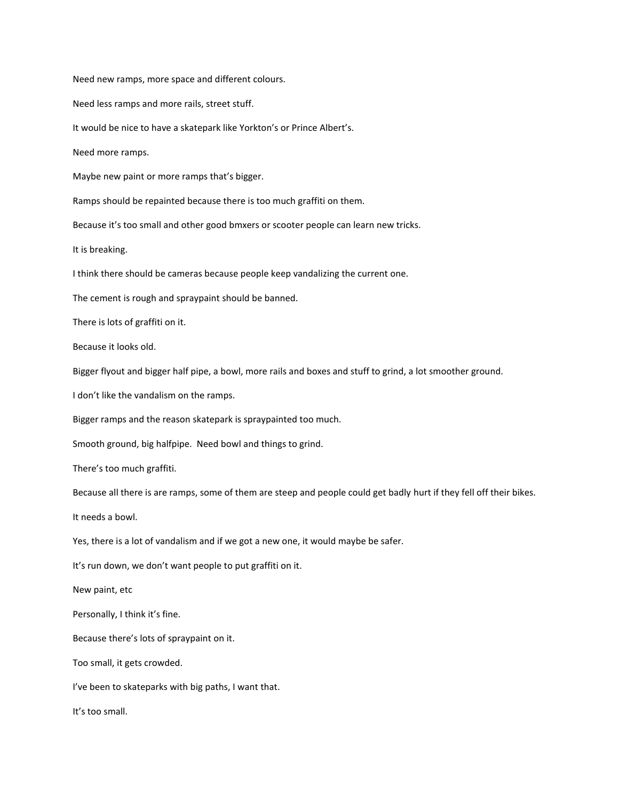Need new ramps, more space and different colours. Need less ramps and more rails, street stuff. It would be nice to have a skatepark like Yorkton's or Prince Albert's. Need more ramps. Maybe new paint or more ramps that's bigger. Ramps should be repainted because there is too much graffiti on them. Because it's too small and other good bmxers or scooter people can learn new tricks. It is breaking. I think there should be cameras because people keep vandalizing the current one. The cement is rough and spraypaint should be banned. There is lots of graffiti on it. Because it looks old. Bigger flyout and bigger half pipe, a bowl, more rails and boxes and stuff to grind, a lot smoother ground. I don't like the vandalism on the ramps. Bigger ramps and the reason skatepark is spraypainted too much. Smooth ground, big halfpipe. Need bowl and things to grind. There's too much graffiti. Because all there is are ramps, some of them are steep and people could get badly hurt if they fell off their bikes. It needs a bowl. Yes, there is a lot of vandalism and if we got a new one, it would maybe be safer. It's run down, we don't want people to put graffiti on it. New paint, etc Personally, I think it's fine. Because there's lots of spraypaint on it. Too small, it gets crowded. I've been to skateparks with big paths, I want that. It's too small.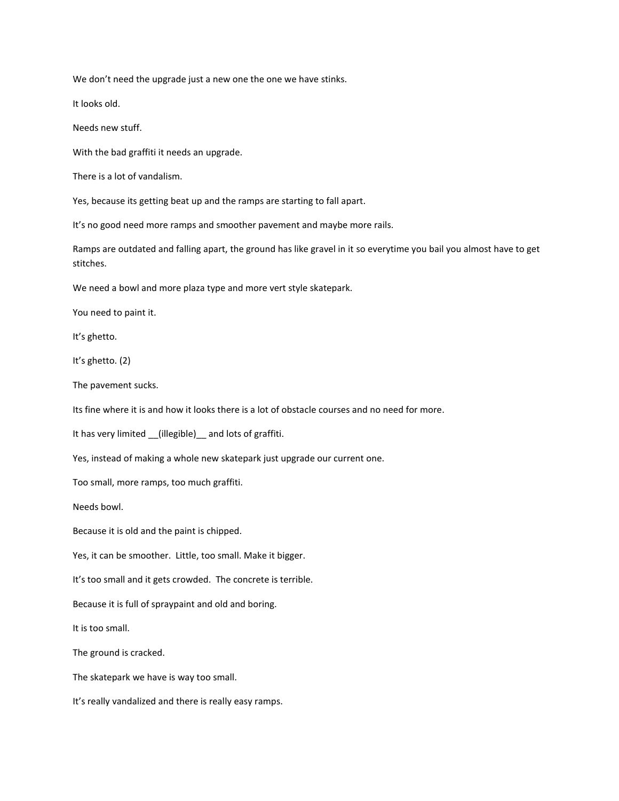We don't need the upgrade just a new one the one we have stinks.

It looks old.

Needs new stuff.

With the bad graffiti it needs an upgrade.

There is a lot of vandalism.

Yes, because its getting beat up and the ramps are starting to fall apart.

It's no good need more ramps and smoother pavement and maybe more rails.

Ramps are outdated and falling apart, the ground has like gravel in it so everytime you bail you almost have to get stitches.

We need a bowl and more plaza type and more vert style skatepark.

You need to paint it.

It's ghetto.

It's ghetto. (2)

The pavement sucks.

Its fine where it is and how it looks there is a lot of obstacle courses and no need for more.

It has very limited \_\_(illegible)\_\_ and lots of graffiti.

Yes, instead of making a whole new skatepark just upgrade our current one.

Too small, more ramps, too much graffiti.

Needs bowl.

Because it is old and the paint is chipped.

Yes, it can be smoother. Little, too small. Make it bigger.

It's too small and it gets crowded. The concrete is terrible.

Because it is full of spraypaint and old and boring.

It is too small.

The ground is cracked.

The skatepark we have is way too small.

It's really vandalized and there is really easy ramps.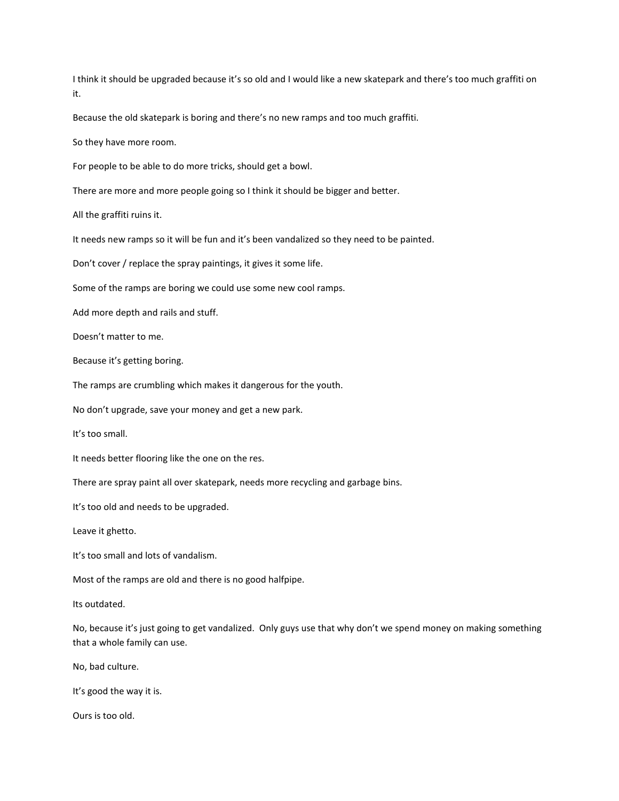I think it should be upgraded because it's so old and I would like a new skatepark and there's too much graffiti on it.

Because the old skatepark is boring and there's no new ramps and too much graffiti.

So they have more room.

For people to be able to do more tricks, should get a bowl.

There are more and more people going so I think it should be bigger and better.

All the graffiti ruins it.

It needs new ramps so it will be fun and it's been vandalized so they need to be painted.

Don't cover / replace the spray paintings, it gives it some life.

Some of the ramps are boring we could use some new cool ramps.

Add more depth and rails and stuff.

Doesn't matter to me.

Because it's getting boring.

The ramps are crumbling which makes it dangerous for the youth.

No don't upgrade, save your money and get a new park.

It's too small.

It needs better flooring like the one on the res.

There are spray paint all over skatepark, needs more recycling and garbage bins.

It's too old and needs to be upgraded.

Leave it ghetto.

It's too small and lots of vandalism.

Most of the ramps are old and there is no good halfpipe.

Its outdated.

No, because it's just going to get vandalized. Only guys use that why don't we spend money on making something that a whole family can use.

No, bad culture.

It's good the way it is.

Ours is too old.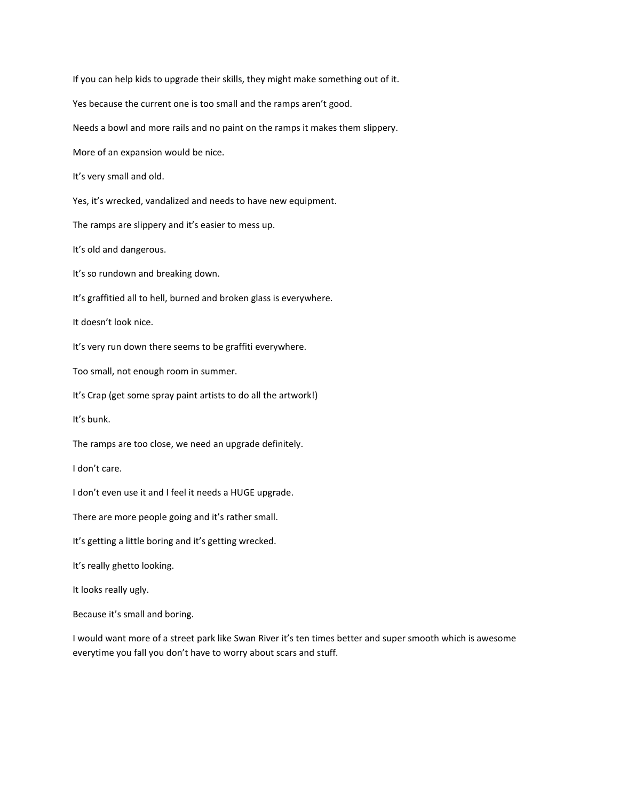If you can help kids to upgrade their skills, they might make something out of it.

Yes because the current one is too small and the ramps aren't good.

Needs a bowl and more rails and no paint on the ramps it makes them slippery.

More of an expansion would be nice.

It's very small and old.

Yes, it's wrecked, vandalized and needs to have new equipment.

The ramps are slippery and it's easier to mess up.

It's old and dangerous.

It's so rundown and breaking down.

It's graffitied all to hell, burned and broken glass is everywhere.

It doesn't look nice.

It's very run down there seems to be graffiti everywhere.

Too small, not enough room in summer.

It's Crap (get some spray paint artists to do all the artwork!)

It's bunk.

The ramps are too close, we need an upgrade definitely.

I don't care.

I don't even use it and I feel it needs a HUGE upgrade.

There are more people going and it's rather small.

It's getting a little boring and it's getting wrecked.

It's really ghetto looking.

It looks really ugly.

Because it's small and boring.

I would want more of a street park like Swan River it's ten times better and super smooth which is awesome everytime you fall you don't have to worry about scars and stuff.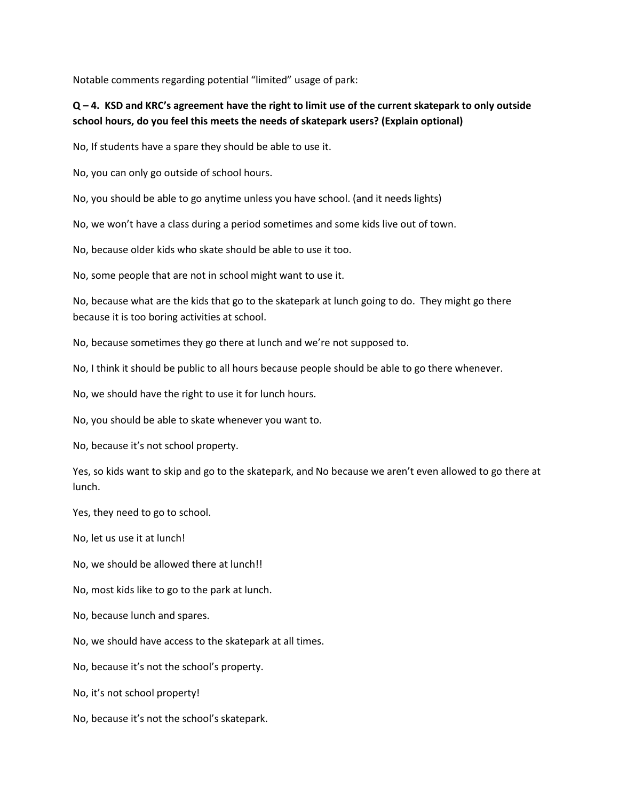Notable comments regarding potential "limited" usage of park:

#### **Q – 4. KSD and KRC's agreement have the right to limit use of the current skatepark to only outside school hours, do you feel this meets the needs of skatepark users? (Explain optional)**

No, If students have a spare they should be able to use it.

No, you can only go outside of school hours.

No, you should be able to go anytime unless you have school. (and it needs lights)

No, we won't have a class during a period sometimes and some kids live out of town.

No, because older kids who skate should be able to use it too.

No, some people that are not in school might want to use it.

No, because what are the kids that go to the skatepark at lunch going to do. They might go there because it is too boring activities at school.

No, because sometimes they go there at lunch and we're not supposed to.

No, I think it should be public to all hours because people should be able to go there whenever.

No, we should have the right to use it for lunch hours.

No, you should be able to skate whenever you want to.

No, because it's not school property.

Yes, so kids want to skip and go to the skatepark, and No because we aren't even allowed to go there at lunch.

Yes, they need to go to school.

No, let us use it at lunch!

No, we should be allowed there at lunch!!

No, most kids like to go to the park at lunch.

No, because lunch and spares.

No, we should have access to the skatepark at all times.

No, because it's not the school's property.

No, it's not school property!

No, because it's not the school's skatepark.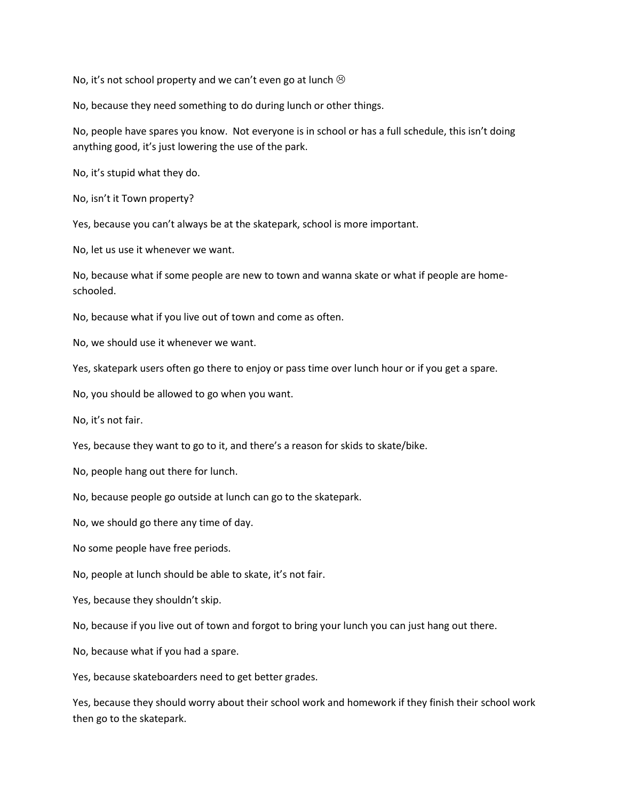No, it's not school property and we can't even go at lunch  $\odot$ 

No, because they need something to do during lunch or other things.

No, people have spares you know. Not everyone is in school or has a full schedule, this isn't doing anything good, it's just lowering the use of the park.

No, it's stupid what they do.

No, isn't it Town property?

Yes, because you can't always be at the skatepark, school is more important.

No, let us use it whenever we want.

No, because what if some people are new to town and wanna skate or what if people are homeschooled.

No, because what if you live out of town and come as often.

No, we should use it whenever we want.

Yes, skatepark users often go there to enjoy or pass time over lunch hour or if you get a spare.

No, you should be allowed to go when you want.

No, it's not fair.

Yes, because they want to go to it, and there's a reason for skids to skate/bike.

No, people hang out there for lunch.

No, because people go outside at lunch can go to the skatepark.

No, we should go there any time of day.

No some people have free periods.

No, people at lunch should be able to skate, it's not fair.

Yes, because they shouldn't skip.

No, because if you live out of town and forgot to bring your lunch you can just hang out there.

No, because what if you had a spare.

Yes, because skateboarders need to get better grades.

Yes, because they should worry about their school work and homework if they finish their school work then go to the skatepark.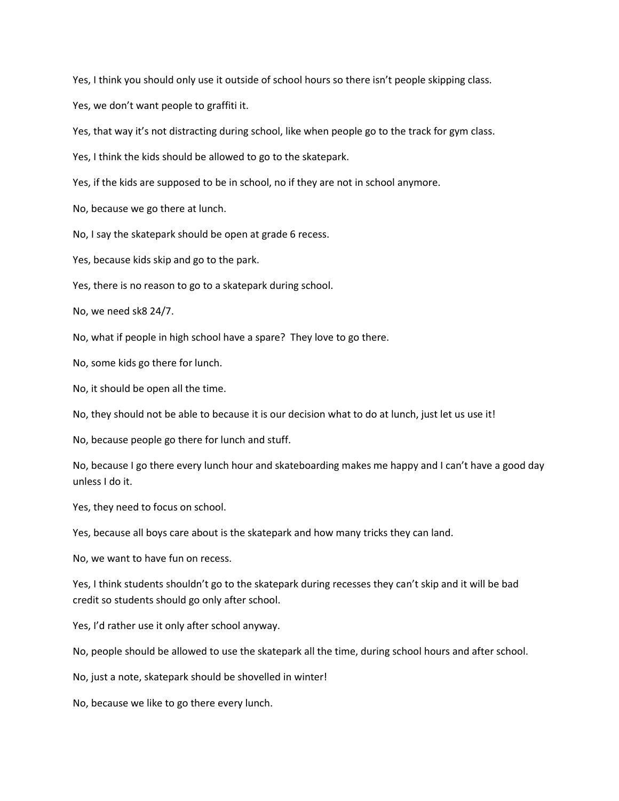Yes, I think you should only use it outside of school hours so there isn't people skipping class.

Yes, we don't want people to graffiti it.

Yes, that way it's not distracting during school, like when people go to the track for gym class.

Yes, I think the kids should be allowed to go to the skatepark.

Yes, if the kids are supposed to be in school, no if they are not in school anymore.

No, because we go there at lunch.

No, I say the skatepark should be open at grade 6 recess.

Yes, because kids skip and go to the park.

Yes, there is no reason to go to a skatepark during school.

No, we need sk8 24/7.

No, what if people in high school have a spare? They love to go there.

No, some kids go there for lunch.

No, it should be open all the time.

No, they should not be able to because it is our decision what to do at lunch, just let us use it!

No, because people go there for lunch and stuff.

No, because I go there every lunch hour and skateboarding makes me happy and I can't have a good day unless I do it.

Yes, they need to focus on school.

Yes, because all boys care about is the skatepark and how many tricks they can land.

No, we want to have fun on recess.

Yes, I think students shouldn't go to the skatepark during recesses they can't skip and it will be bad credit so students should go only after school.

Yes, I'd rather use it only after school anyway.

No, people should be allowed to use the skatepark all the time, during school hours and after school.

No, just a note, skatepark should be shovelled in winter!

No, because we like to go there every lunch.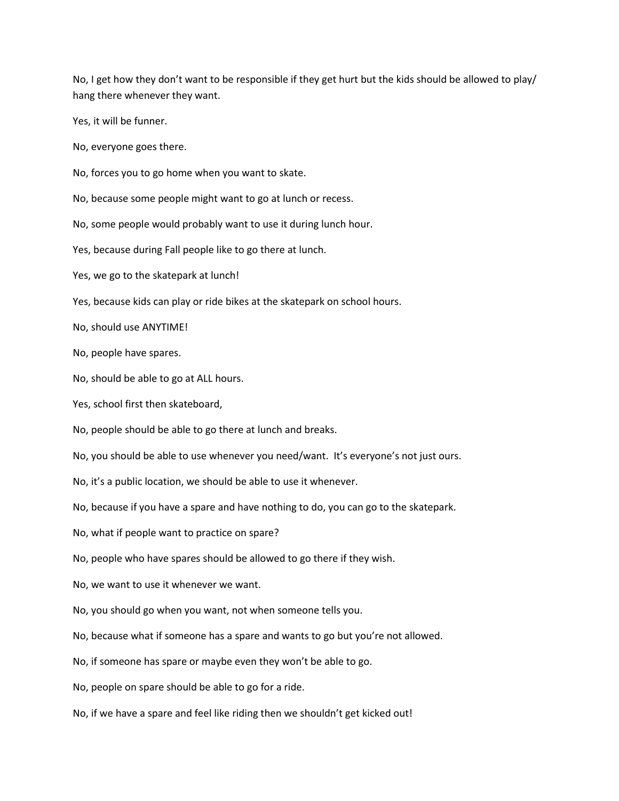No, I get how they don't want to be responsible if they get hurt but the kids should be allowed to play/ hang there whenever they want.

Yes, it will be funner.

No, everyone goes there.

No, forces you to go home when you want to skate.

No, because some people might want to go at lunch or recess.

No, some people would probably want to use it during lunch hour.

Yes, because during Fall people like to go there at lunch.

Yes, we go to the skatepark at lunch!

Yes, because kids can play or ride bikes at the skatepark on school hours.

No, should use ANYTIME!

No, people have spares.

No, should be able to go at ALL hours.

Yes, school first then skateboard,

No, people should be able to go there at lunch and breaks.

No, you should be able to use whenever you need/want. It's everyone's not just ours.

No, it's a public location, we should be able to use it whenever.

No, because if you have a spare and have nothing to do, you can go to the skatepark.

No, what if people want to practice on spare?

No, people who have spares should be allowed to go there if they wish.

No, we want to use it whenever we want.

No, you should go when you want, not when someone tells you.

No, because what if someone has a spare and wants to go but you're not allowed.

No, if someone has spare or maybe even they won't be able to go.

No, people on spare should be able to go for a ride.

No, if we have a spare and feel like riding then we shouldn't get kicked out!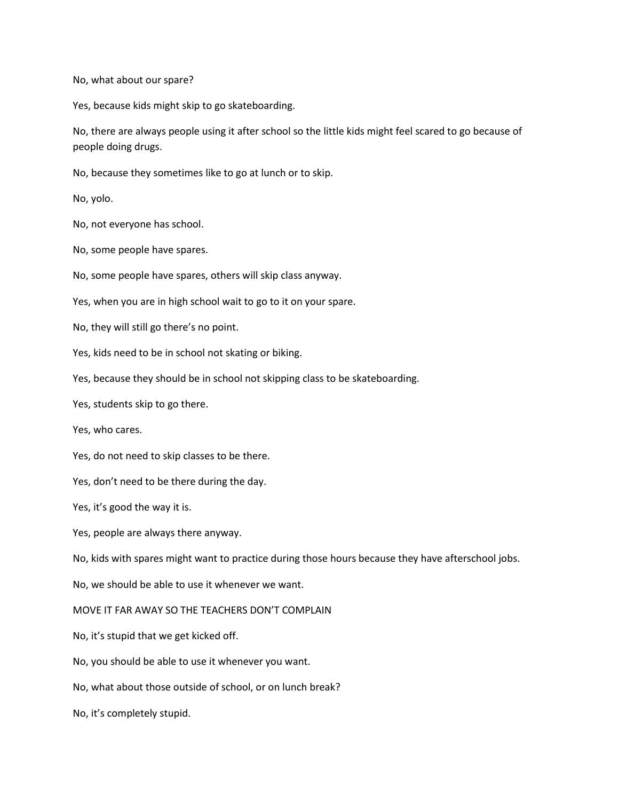No, what about our spare?

Yes, because kids might skip to go skateboarding.

No, there are always people using it after school so the little kids might feel scared to go because of people doing drugs.

No, because they sometimes like to go at lunch or to skip.

No, yolo.

No, not everyone has school.

No, some people have spares.

No, some people have spares, others will skip class anyway.

Yes, when you are in high school wait to go to it on your spare.

No, they will still go there's no point.

Yes, kids need to be in school not skating or biking.

Yes, because they should be in school not skipping class to be skateboarding.

Yes, students skip to go there.

Yes, who cares.

Yes, do not need to skip classes to be there.

Yes, don't need to be there during the day.

Yes, it's good the way it is.

Yes, people are always there anyway.

No, kids with spares might want to practice during those hours because they have afterschool jobs.

No, we should be able to use it whenever we want.

MOVE IT FAR AWAY SO THE TEACHERS DON'T COMPLAIN

No, it's stupid that we get kicked off.

No, you should be able to use it whenever you want.

No, what about those outside of school, or on lunch break?

No, it's completely stupid.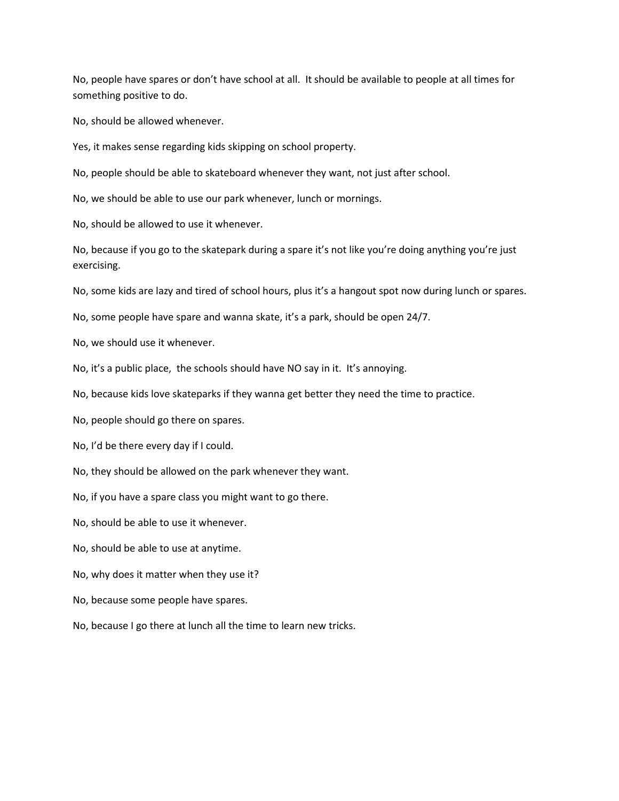No, people have spares or don't have school at all. It should be available to people at all times for something positive to do.

No, should be allowed whenever.

Yes, it makes sense regarding kids skipping on school property.

No, people should be able to skateboard whenever they want, not just after school.

No, we should be able to use our park whenever, lunch or mornings.

No, should be allowed to use it whenever.

No, because if you go to the skatepark during a spare it's not like you're doing anything you're just exercising.

No, some kids are lazy and tired of school hours, plus it's a hangout spot now during lunch or spares.

No, some people have spare and wanna skate, it's a park, should be open 24/7.

No, we should use it whenever.

No, it's a public place, the schools should have NO say in it. It's annoying.

No, because kids love skateparks if they wanna get better they need the time to practice.

No, people should go there on spares.

No, I'd be there every day if I could.

No, they should be allowed on the park whenever they want.

No, if you have a spare class you might want to go there.

No, should be able to use it whenever.

No, should be able to use at anytime.

No, why does it matter when they use it?

No, because some people have spares.

No, because I go there at lunch all the time to learn new tricks.